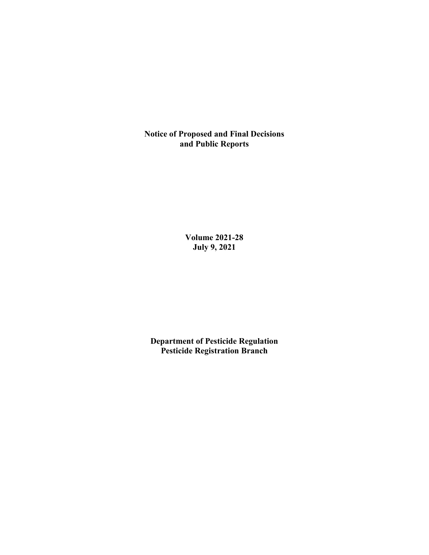**Notice of Proposed and Final Decisions and Public Reports**

> **Volume 2021-28 July 9, 2021**

**Department of Pesticide Regulation Pesticide Registration Branch**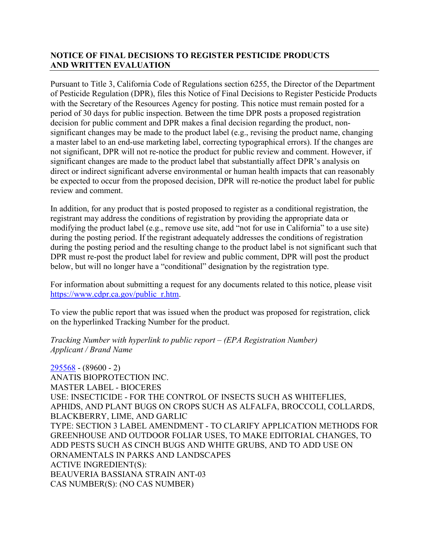# **NOTICE OF FINAL DECISIONS TO REGISTER PESTICIDE PRODUCTS AND WRITTEN EVALUATION**

Pursuant to Title 3, California Code of Regulations section 6255, the Director of the Department of Pesticide Regulation (DPR), files this Notice of Final Decisions to Register Pesticide Products with the Secretary of the Resources Agency for posting. This notice must remain posted for a period of 30 days for public inspection. Between the time DPR posts a proposed registration decision for public comment and DPR makes a final decision regarding the product, nonsignificant changes may be made to the product label (e.g., revising the product name, changing a master label to an end-use marketing label, correcting typographical errors). If the changes are not significant, DPR will not re-notice the product for public review and comment. However, if significant changes are made to the product label that substantially affect DPR's analysis on direct or indirect significant adverse environmental or human health impacts that can reasonably be expected to occur from the proposed decision, DPR will re-notice the product label for public review and comment.

In addition, for any product that is posted proposed to register as a conditional registration, the registrant may address the conditions of registration by providing the appropriate data or modifying the product label (e.g., remove use site, add "not for use in California" to a use site) during the posting period. If the registrant adequately addresses the conditions of registration during the posting period and the resulting change to the product label is not significant such that DPR must re-post the product label for review and public comment, DPR will post the product below, but will no longer have a "conditional" designation by the registration type.

For information about submitting a request for any documents related to this notice, please visit [https://www.cdpr.ca.gov/public\\_r.htm.](https://www.cdpr.ca.gov/public_r.htm)

To view the public report that was issued when the product was proposed for registration, click on the hyperlinked Tracking Number for the product.

*Tracking Number with hyperlink to public report – (EPA Registration Number) Applicant / Brand Name*

[295568](https://www.cdpr.ca.gov/docs/registration/nod/public_reports/295568.pdf) - (89600 - 2) ANATIS BIOPROTECTION INC. MASTER LABEL - BIOCERES USE: INSECTICIDE - FOR THE CONTROL OF INSECTS SUCH AS WHITEFLIES, APHIDS, AND PLANT BUGS ON CROPS SUCH AS ALFALFA, BROCCOLI, COLLARDS, BLACKBERRY, LIME, AND GARLIC TYPE: SECTION 3 LABEL AMENDMENT - TO CLARIFY APPLICATION METHODS FOR GREENHOUSE AND OUTDOOR FOLIAR USES, TO MAKE EDITORIAL CHANGES, TO ADD PESTS SUCH AS CINCH BUGS AND WHITE GRUBS, AND TO ADD USE ON ORNAMENTALS IN PARKS AND LANDSCAPES ACTIVE INGREDIENT(S): BEAUVERIA BASSIANA STRAIN ANT-03 CAS NUMBER(S): (NO CAS NUMBER)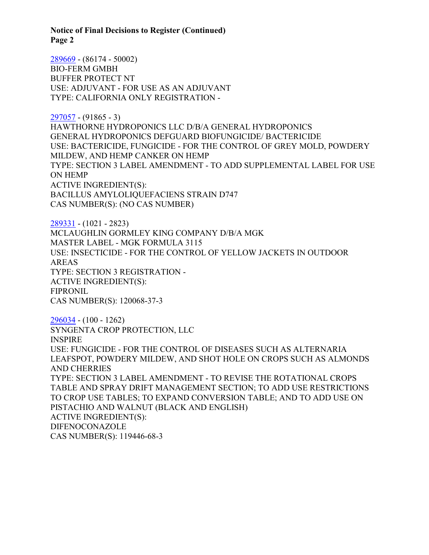**Notice of Final Decisions to Register (Continued) Page 2**

[289669](https://www.cdpr.ca.gov/docs/registration/nod/public_reports/289669.pdf) - (86174 - 50002) BIO-FERM GMBH BUFFER PROTECT NT USE: ADJUVANT - FOR USE AS AN ADJUVANT TYPE: CALIFORNIA ONLY REGISTRATION -

[297057](https://www.cdpr.ca.gov/docs/registration/nod/public_reports/297057.pdf) - (91865 - 3)

HAWTHORNE HYDROPONICS LLC D/B/A GENERAL HYDROPONICS GENERAL HYDROPONICS DEFGUARD BIOFUNGICIDE/ BACTERICIDE USE: BACTERICIDE, FUNGICIDE - FOR THE CONTROL OF GREY MOLD, POWDERY MILDEW, AND HEMP CANKER ON HEMP TYPE: SECTION 3 LABEL AMENDMENT - TO ADD SUPPLEMENTAL LABEL FOR USE ON HEMP ACTIVE INGREDIENT(S): BACILLUS AMYLOLIQUEFACIENS STRAIN D747 CAS NUMBER(S): (NO CAS NUMBER)

[289331](https://www.cdpr.ca.gov/docs/registration/nod/public_reports/289331.pdf) - (1021 - 2823) MCLAUGHLIN GORMLEY KING COMPANY D/B/A MGK MASTER LABEL - MGK FORMULA 3115 USE: INSECTICIDE - FOR THE CONTROL OF YELLOW JACKETS IN OUTDOOR AREAS TYPE: SECTION 3 REGISTRATION - ACTIVE INGREDIENT(S): FIPRONIL CAS NUMBER(S): 120068-37-3

[296034](https://www.cdpr.ca.gov/docs/registration/nod/public_reports/296034.pdf) - (100 - 1262) SYNGENTA CROP PROTECTION, LLC INSPIRE USE: FUNGICIDE - FOR THE CONTROL OF DISEASES SUCH AS ALTERNARIA LEAFSPOT, POWDERY MILDEW, AND SHOT HOLE ON CROPS SUCH AS ALMONDS AND CHERRIES TYPE: SECTION 3 LABEL AMENDMENT - TO REVISE THE ROTATIONAL CROPS TABLE AND SPRAY DRIFT MANAGEMENT SECTION; TO ADD USE RESTRICTIONS TO CROP USE TABLES; TO EXPAND CONVERSION TABLE; AND TO ADD USE ON PISTACHIO AND WALNUT (BLACK AND ENGLISH) ACTIVE INGREDIENT(S): DIFENOCONAZOLE CAS NUMBER(S): 119446-68-3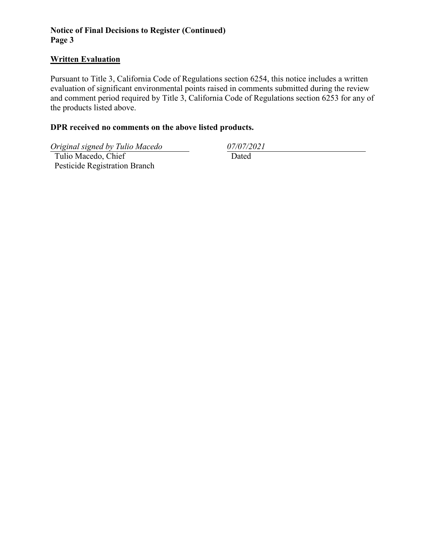# **Notice of Final Decisions to Register (Continued) Page 3**

#### **Written Evaluation**

Pursuant to Title 3, California Code of Regulations section 6254, this notice includes a written evaluation of significant environmental points raised in comments submitted during the review and comment period required by Title 3, California Code of Regulations section 6253 for any of the products listed above.

# **DPR received no comments on the above listed products.**

*Original signed by Tulio Macedo 07/07/2021*

 Tulio Macedo, Chief Pesticide Registration Branch

Dated